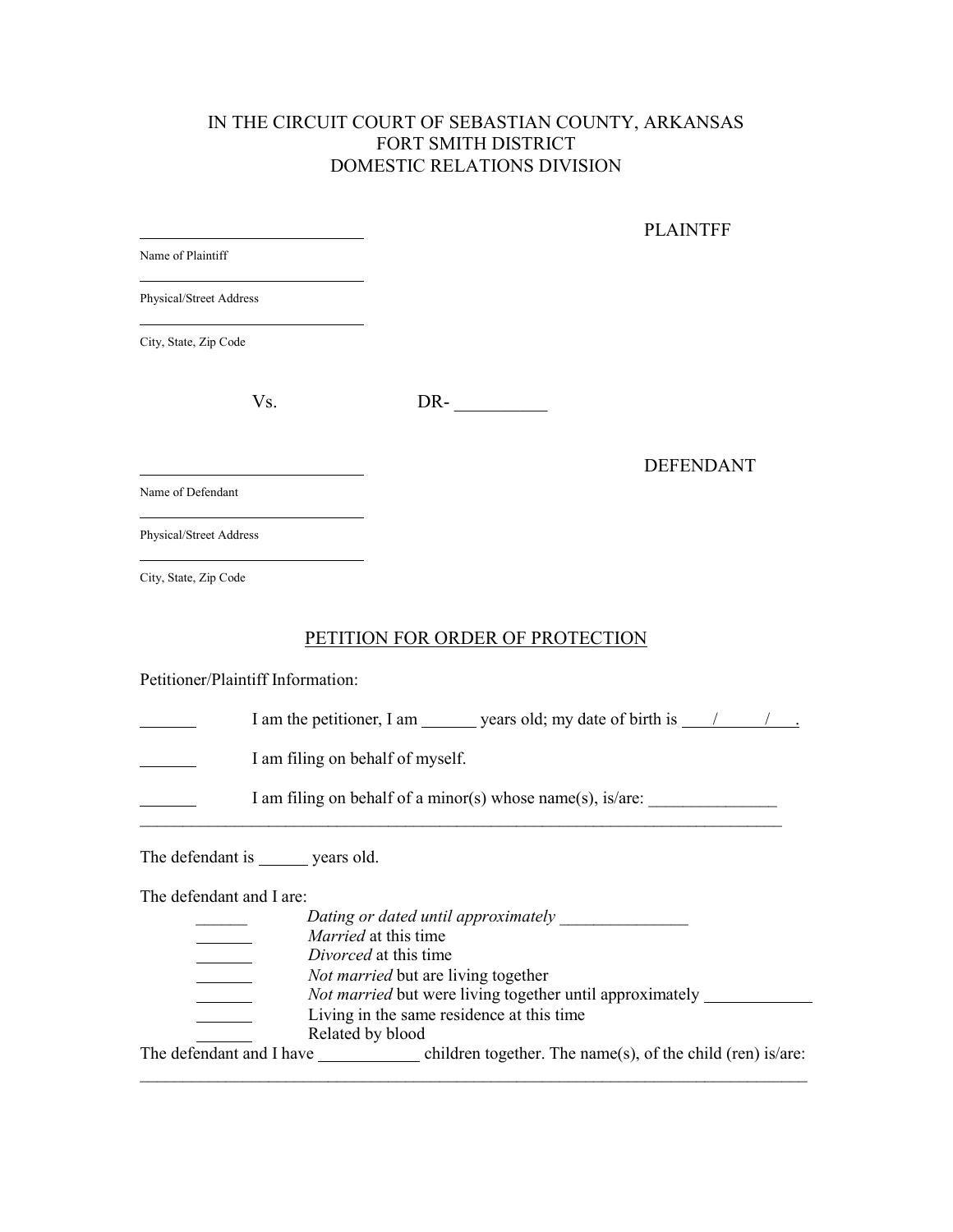## IN THE CIRCUIT COURT OF SEBASTIAN COUNTY, ARKANSAS FORT SMITH DISTRICT DOMESTIC RELATIONS DIVISION

|                                                                                                                                                | <b>PLAINTFF</b>                                            |
|------------------------------------------------------------------------------------------------------------------------------------------------|------------------------------------------------------------|
| Name of Plaintiff                                                                                                                              |                                                            |
| Physical/Street Address                                                                                                                        |                                                            |
| City, State, Zip Code                                                                                                                          |                                                            |
| Vs.                                                                                                                                            | $DR$ - $\qquad \qquad$                                     |
|                                                                                                                                                | <b>DEFENDANT</b>                                           |
| Name of Defendant                                                                                                                              |                                                            |
| Physical/Street Address                                                                                                                        |                                                            |
| <u> 1980 - Johann Barn, mars ann an t-Amhain an t-Amhain an t-Amhain an t-Amhain an t-Amhain an t-Amhain an t-Amh</u><br>City, State, Zip Code |                                                            |
|                                                                                                                                                | PETITION FOR ORDER OF PROTECTION                           |
| Petitioner/Plaintiff Information:                                                                                                              |                                                            |
|                                                                                                                                                |                                                            |
| I am filing on behalf of myself.                                                                                                               |                                                            |
|                                                                                                                                                | I am filing on behalf of a minor(s) whose name(s), is/are: |
| The defendant is _______ years old.                                                                                                            |                                                            |
| The defendant and I are:                                                                                                                       |                                                            |
|                                                                                                                                                | Dating or dated until approximately _______________        |
|                                                                                                                                                | <i>Married</i> at this time<br>Divorced at this time       |
|                                                                                                                                                | Not married but are living together                        |
| <u> 1999 - John Barnett, p</u>                                                                                                                 | Not married but were living together until approximately _ |
|                                                                                                                                                | Living in the same residence at this time                  |
|                                                                                                                                                | Related by blood                                           |
|                                                                                                                                                |                                                            |
|                                                                                                                                                |                                                            |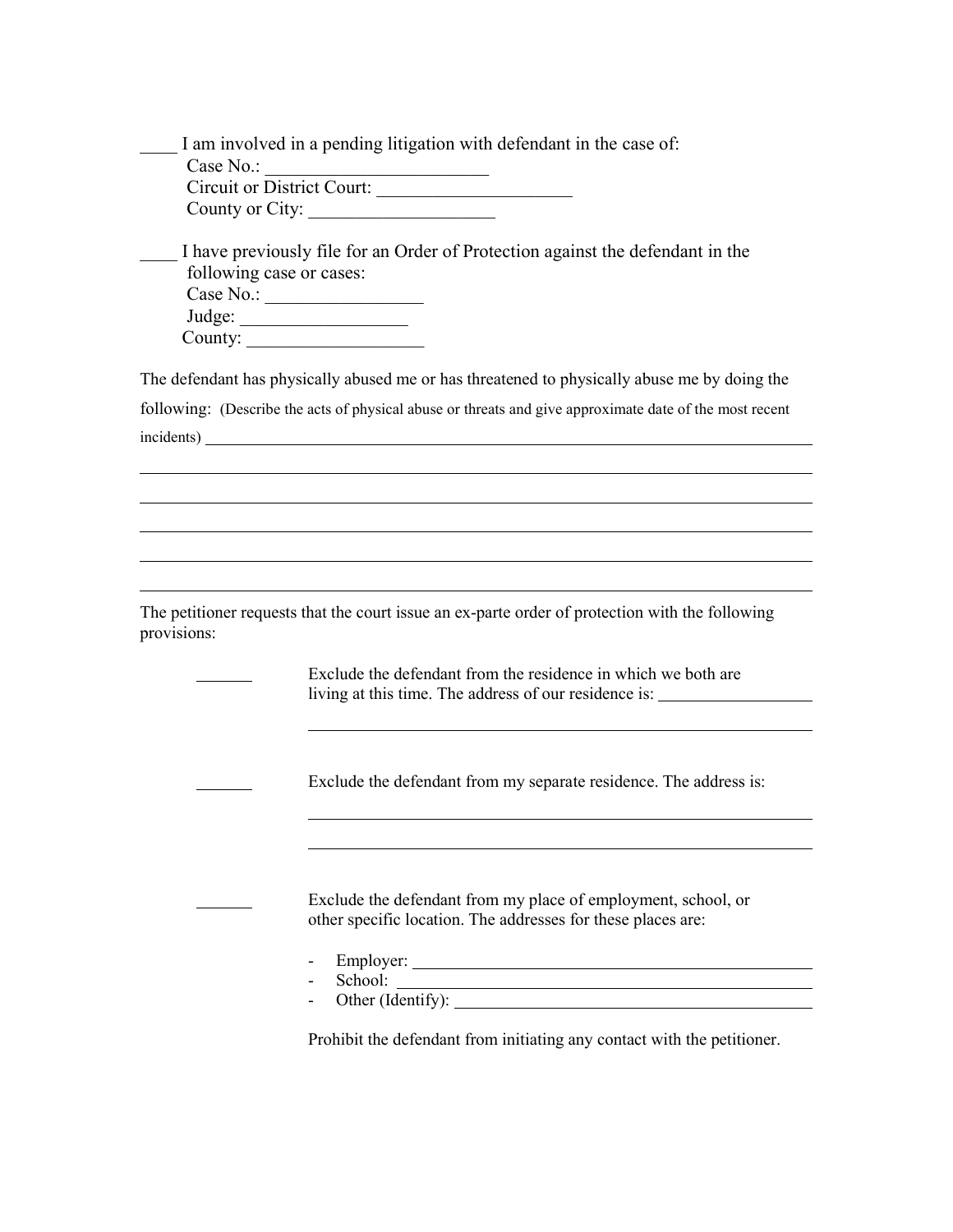| I am involved in a pending litigation with defendant in the case of: |
|----------------------------------------------------------------------|
| Case $No.$ :                                                         |
| Circuit or District Court:                                           |
| County or City:                                                      |

\_\_\_\_ I have previously file for an Order of Protection against the defendant in the following case or cases: Case No.: \_\_\_\_\_\_\_\_\_\_\_\_\_\_\_\_\_

 Judge: \_\_\_\_\_\_\_\_\_\_\_\_\_\_\_\_\_\_ County:

The defendant has physically abused me or has threatened to physically abuse me by doing the following: (Describe the acts of physical abuse or threats and give approximate date of the most recent incidents)

The petitioner requests that the court issue an ex-parte order of protection with the following provisions:

> Exclude the defendant from the residence in which we both are living at this time. The address of our residence is:

Exclude the defendant from my separate residence. The address is:

Exclude the defendant from my place of employment, school, or other specific location. The addresses for these places are:

- Employer:
- School:
- Other (Identify):

Prohibit the defendant from initiating any contact with the petitioner.